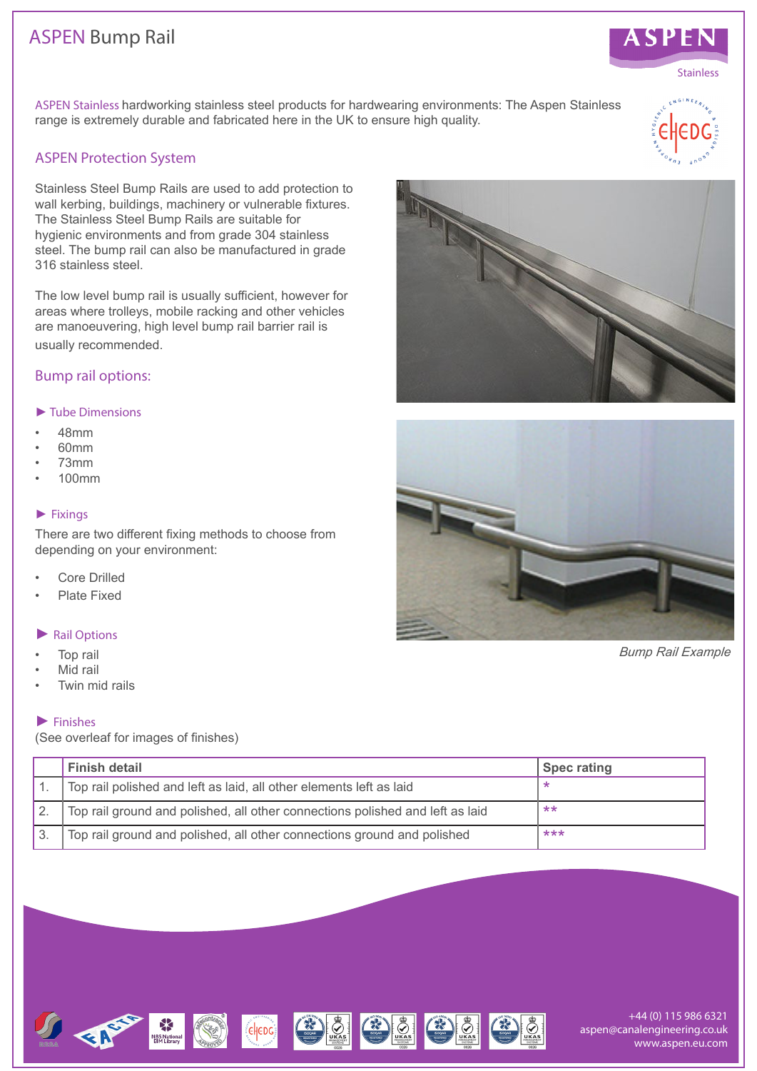# ASPEN Bump Rail



## ASPEN Protection System

Stainless Steel Bump Rails are used to add protection to wall kerbing, buildings, machinery or vulnerable fixtures. The Stainless Steel Bump Rails are suitable for hygienic environments and from grade 304 stainless steel. The bump rail can also be manufactured in grade 316 stainless steel.

The low level bump rail is usually sufficient, however for areas where trolleys, mobile racking and other vehicles are manoeuvering, high level bump rail barrier rail is usually recommended.

### Bump rail options:

#### *►* Tube Dimensions

- 48mm
- $60mm$
- 73mm
- 100mm

#### *►* Fixings

There are two different fixing methods to choose from depending on your environment:

- Core Drilled
- Plate Fixed

#### *►* Rail Options

- Top rail
- Mid rail
- Twin mid rails

#### *►* Finishes

(See overleaf for images of finishes)

| Finish detail                                                                 | <b>Spec rating</b> |
|-------------------------------------------------------------------------------|--------------------|
| Top rail polished and left as laid, all other elements left as laid           |                    |
| Top rail ground and polished, all other connections polished and left as laid | $***$              |
| Top rail ground and polished, all other connections ground and polished       | ***                |



 $\left(\frac{1}{2} \right)$ 

 $\left(\frac{1}{2}\right)$ 









**ASPEN** 





**NBS Nationa**<br>BIM Library

 $\bigcirc$